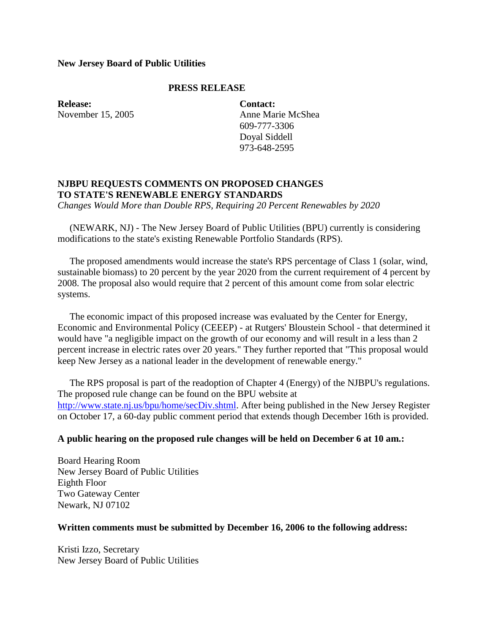# **New Jersey Board of Public Utilities**

# **PRESS RELEASE**

**Release:** November 15, 2005 **Contact:** Anne Marie McShea 609-777-3306 Doyal Siddell 973-648-2595

# **NJBPU REQUESTS COMMENTS ON PROPOSED CHANGES TO STATE'S RENEWABLE ENERGY STANDARDS**

*Changes Would More than Double RPS, Requiring 20 Percent Renewables by 2020*

 (NEWARK, NJ) - The New Jersey Board of Public Utilities (BPU) currently is considering modifications to the state's existing Renewable Portfolio Standards (RPS).

 The proposed amendments would increase the state's RPS percentage of Class 1 (solar, wind, sustainable biomass) to 20 percent by the year 2020 from the current requirement of 4 percent by 2008. The proposal also would require that 2 percent of this amount come from solar electric systems.

 The economic impact of this proposed increase was evaluated by the Center for Energy, Economic and Environmental Policy (CEEEP) - at Rutgers' Bloustein School - that determined it would have "a negligible impact on the growth of our economy and will result in a less than 2 percent increase in electric rates over 20 years." They further reported that "This proposal would keep New Jersey as a national leader in the development of renewable energy."

 The RPS proposal is part of the readoption of Chapter 4 (Energy) of the NJBPU's regulations. The proposed rule change can be found on the BPU website at [http://www.state.nj.us/bpu/home/secDiv.shtml.](http://www.state.nj.us/bpu/home/secDiv.shtml) After being published in the New Jersey Register on October 17, a 60-day public comment period that extends though December 16th is provided.

## **A public hearing on the proposed rule changes will be held on December 6 at 10 am.:**

Board Hearing Room New Jersey Board of Public Utilities Eighth Floor Two Gateway Center Newark, NJ 07102

## **Written comments must be submitted by December 16, 2006 to the following address:**

Kristi Izzo, Secretary New Jersey Board of Public Utilities